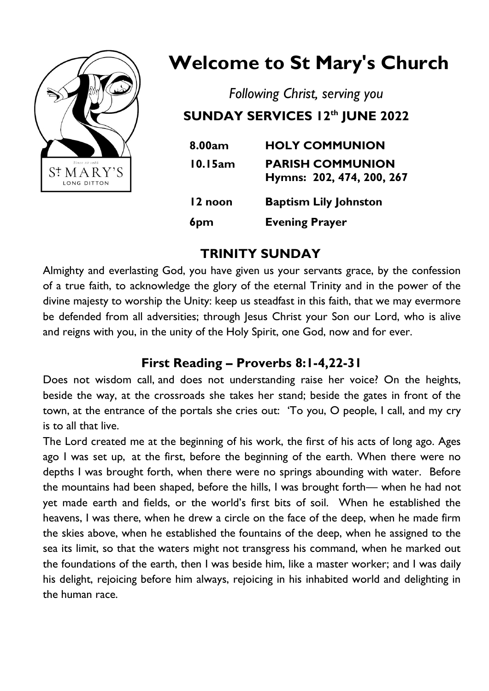

# **Welcome to St Mary's Church**

*Following Christ, serving you* **SUNDAY SERVICES 12th JUNE 2022** 

| 8.00am  | <b>HOLY COMMUNION</b>                                |
|---------|------------------------------------------------------|
| 10.15am | <b>PARISH COMMUNION</b><br>Hymns: 202, 474, 200, 267 |
| 12 noon | <b>Baptism Lily Johnston</b>                         |
| 6pm     | <b>Evening Prayer</b>                                |

# **TRINITY SUNDAY**

Almighty and everlasting God, you have given us your servants grace, by the confession of a true faith, to acknowledge the glory of the eternal Trinity and in the power of the divine majesty to worship the Unity: keep us steadfast in this faith, that we may evermore be defended from all adversities; through Jesus Christ your Son our Lord, who is alive and reigns with you, in the unity of the Holy Spirit, one God, now and for ever.

# **First Reading – Proverbs 8:1-4,22-31**

Does not wisdom call, and does not understanding raise her voice? On the heights, beside the way, at the crossroads she takes her stand; beside the gates in front of the town, at the entrance of the portals she cries out: 'To you, O people, I call, and my cry is to all that live.

The Lord created me at the beginning of his work, the first of his acts of long ago. Ages ago I was set up, at the first, before the beginning of the earth. When there were no depths I was brought forth, when there were no springs abounding with water. Before the mountains had been shaped, before the hills, I was brought forth— when he had not yet made earth and fields, or the world's first bits of soil. When he established the heavens, I was there, when he drew a circle on the face of the deep, when he made firm the skies above, when he established the fountains of the deep, when he assigned to the sea its limit, so that the waters might not transgress his command, when he marked out the foundations of the earth, then I was beside him, like a master worker; and I was daily his delight, rejoicing before him always, rejoicing in his inhabited world and delighting in the human race.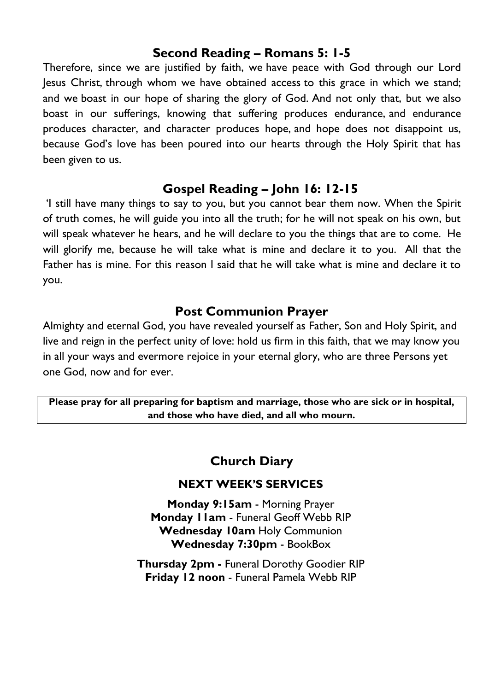# **Second Reading – Romans 5: 1-5**

Therefore, since we are justified by faith, we have peace with God through our Lord Jesus Christ, through whom we have obtained access to this grace in which we stand; and we boast in our hope of sharing the glory of God. And not only that, but we also boast in our sufferings, knowing that suffering produces endurance, and endurance produces character, and character produces hope, and hope does not disappoint us, because God's love has been poured into our hearts through the Holy Spirit that has been given to us.

# **Gospel Reading – John 16: 12-15**

'I still have many things to say to you, but you cannot bear them now. When the Spirit of truth comes, he will guide you into all the truth; for he will not speak on his own, but will speak whatever he hears, and he will declare to you the things that are to come. He will glorify me, because he will take what is mine and declare it to you. All that the Father has is mine. For this reason I said that he will take what is mine and declare it to you.

# **Post Communion Prayer**

Almighty and eternal God, you have revealed yourself as Father, Son and Holy Spirit, and live and reign in the perfect unity of love: hold us firm in this faith, that we may know you in all your ways and evermore rejoice in your eternal glory, who are three Persons yet one God, now and for ever.

**Please pray for all preparing for baptism and marriage, those who are sick or in hospital, and those who have died, and all who mourn.**

# **Church Diary**

#### **NEXT WEEK'S SERVICES**

**Monday 9:15am** - Morning Prayer **Monday 11am** - Funeral Geoff Webb RIP **Wednesday 10am** Holy Communion **Wednesday 7:30pm** - BookBox

**Thursday 2pm -** Funeral Dorothy Goodier RIP **Friday 12 noon** - Funeral Pamela Webb RIP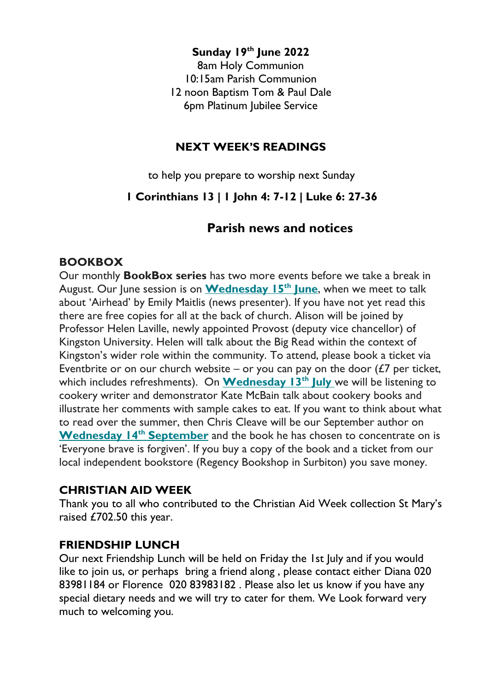#### **Sunday 19th June 2022**

8am Holy Communion 10:15am Parish Communion 12 noon Baptism Tom & Paul Dale 6pm Platinum Jubilee Service

#### **NEXT WEEK'S READINGS**

to help you prepare to worship next Sunday

#### **1 Corinthians 13 | 1 John 4: 7-12 | Luke 6: 27-36**

### **Parish news and notices**

#### **BOOKBOX**

Our monthly **BookBox series** has two more events before we take a break in August. Our June session is on **[Wednesday 15](https://stmaryslongditton.us8.list-manage.com/track/click?u=ef69c0e76376fb9d3af47cc1e&id=8b0869604c&e=b2a01018f9)th June**, when we meet to talk about 'Airhead' by Emily Maitlis (news presenter). If you have not yet read this there are free copies for all at the back of church. Alison will be joined by Professor Helen Laville, newly appointed Provost (deputy vice chancellor) of Kingston University. Helen will talk about the Big Read within the context of Kingston's wider role within the community. To attend, please book a ticket via Eventbrite or on our church website – or you can pay on the door  $(E7)$  per ticket, which includes refreshments). On **[Wednesday 13](https://stmaryslongditton.us8.list-manage.com/track/click?u=ef69c0e76376fb9d3af47cc1e&id=e0cb38cde4&e=b2a01018f9)th Jul[y](https://stmaryslongditton.us8.list-manage.com/track/click?u=ef69c0e76376fb9d3af47cc1e&id=e0cb38cde4&e=b2a01018f9)** we will be listening to cookery writer and demonstrator Kate McBain talk about cookery books and illustrate her comments with sample cakes to eat. If you want to think about what to read over the summer, then Chris Cleave will be our September author on **[Wednesday 14](https://stmaryslongditton.us8.list-manage.com/track/click?u=ef69c0e76376fb9d3af47cc1e&id=8cc8a4f156&e=b2a01018f9)th September** and the book he has chosen to concentrate on is 'Everyone brave is forgiven'. If you buy a copy of the book and a ticket from our local independent bookstore (Regency Bookshop in Surbiton) you save money.

#### **CHRISTIAN AID WEEK**

Thank you to all who contributed to the Christian Aid Week collection St Mary's raised £702.50 this year.

#### **FRIENDSHIP LUNCH**

Our next Friendship Lunch will be held on Friday the 1st July and if you would like to join us, or perhaps bring a friend along , please contact either Diana 020 83981184 or Florence 020 83983182 . Please also let us know if you have any special dietary needs and we will try to cater for them. We Look forward very much to welcoming you.